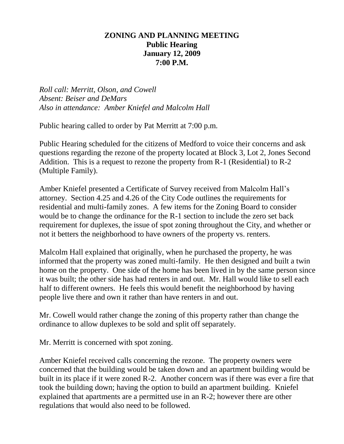# **ZONING AND PLANNING MEETING Public Hearing January 12, 2009 7:00 P.M.**

*Roll call: Merritt, Olson, and Cowell Absent: Beiser and DeMars Also in attendance: Amber Kniefel and Malcolm Hall*

Public hearing called to order by Pat Merritt at 7:00 p.m.

Public Hearing scheduled for the citizens of Medford to voice their concerns and ask questions regarding the rezone of the property located at Block 3, Lot 2, Jones Second Addition. This is a request to rezone the property from R-1 (Residential) to R-2 (Multiple Family).

Amber Kniefel presented a Certificate of Survey received from Malcolm Hall's attorney. Section 4.25 and 4.26 of the City Code outlines the requirements for residential and multi-family zones. A few items for the Zoning Board to consider would be to change the ordinance for the R-1 section to include the zero set back requirement for duplexes, the issue of spot zoning throughout the City, and whether or not it betters the neighborhood to have owners of the property vs. renters.

Malcolm Hall explained that originally, when he purchased the property, he was informed that the property was zoned multi-family. He then designed and built a twin home on the property. One side of the home has been lived in by the same person since it was built; the other side has had renters in and out. Mr. Hall would like to sell each half to different owners. He feels this would benefit the neighborhood by having people live there and own it rather than have renters in and out.

Mr. Cowell would rather change the zoning of this property rather than change the ordinance to allow duplexes to be sold and split off separately.

Mr. Merritt is concerned with spot zoning.

Amber Kniefel received calls concerning the rezone. The property owners were concerned that the building would be taken down and an apartment building would be built in its place if it were zoned R-2. Another concern was if there was ever a fire that took the building down; having the option to build an apartment building. Kniefel explained that apartments are a permitted use in an R-2; however there are other regulations that would also need to be followed.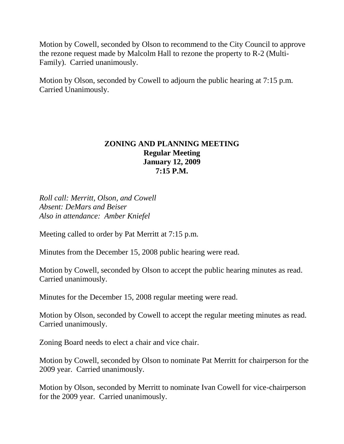Motion by Cowell, seconded by Olson to recommend to the City Council to approve the rezone request made by Malcolm Hall to rezone the property to R-2 (Multi-Family). Carried unanimously.

Motion by Olson, seconded by Cowell to adjourn the public hearing at 7:15 p.m. Carried Unanimously.

# **ZONING AND PLANNING MEETING Regular Meeting January 12, 2009 7:15 P.M.**

*Roll call: Merritt, Olson, and Cowell Absent: DeMars and Beiser Also in attendance: Amber Kniefel*

Meeting called to order by Pat Merritt at 7:15 p.m.

Minutes from the December 15, 2008 public hearing were read.

Motion by Cowell, seconded by Olson to accept the public hearing minutes as read. Carried unanimously.

Minutes for the December 15, 2008 regular meeting were read.

Motion by Olson, seconded by Cowell to accept the regular meeting minutes as read. Carried unanimously.

Zoning Board needs to elect a chair and vice chair.

Motion by Cowell, seconded by Olson to nominate Pat Merritt for chairperson for the 2009 year. Carried unanimously.

Motion by Olson, seconded by Merritt to nominate Ivan Cowell for vice-chairperson for the 2009 year. Carried unanimously.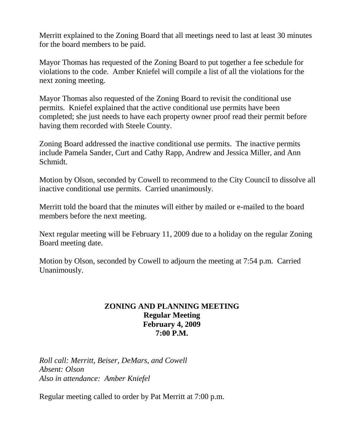Merritt explained to the Zoning Board that all meetings need to last at least 30 minutes for the board members to be paid.

Mayor Thomas has requested of the Zoning Board to put together a fee schedule for violations to the code. Amber Kniefel will compile a list of all the violations for the next zoning meeting.

Mayor Thomas also requested of the Zoning Board to revisit the conditional use permits. Kniefel explained that the active conditional use permits have been completed; she just needs to have each property owner proof read their permit before having them recorded with Steele County.

Zoning Board addressed the inactive conditional use permits. The inactive permits include Pamela Sander, Curt and Cathy Rapp, Andrew and Jessica Miller, and Ann Schmidt.

Motion by Olson, seconded by Cowell to recommend to the City Council to dissolve all inactive conditional use permits. Carried unanimously.

Merritt told the board that the minutes will either by mailed or e-mailed to the board members before the next meeting.

Next regular meeting will be February 11, 2009 due to a holiday on the regular Zoning Board meeting date.

Motion by Olson, seconded by Cowell to adjourn the meeting at 7:54 p.m. Carried Unanimously.

# **ZONING AND PLANNING MEETING Regular Meeting February 4, 2009 7:00 P.M.**

*Roll call: Merritt, Beiser, DeMars, and Cowell Absent: Olson Also in attendance: Amber Kniefel*

Regular meeting called to order by Pat Merritt at 7:00 p.m.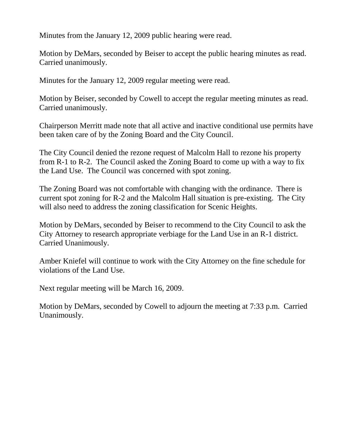Minutes from the January 12, 2009 public hearing were read.

Motion by DeMars, seconded by Beiser to accept the public hearing minutes as read. Carried unanimously.

Minutes for the January 12, 2009 regular meeting were read.

Motion by Beiser, seconded by Cowell to accept the regular meeting minutes as read. Carried unanimously.

Chairperson Merritt made note that all active and inactive conditional use permits have been taken care of by the Zoning Board and the City Council.

The City Council denied the rezone request of Malcolm Hall to rezone his property from R-1 to R-2. The Council asked the Zoning Board to come up with a way to fix the Land Use. The Council was concerned with spot zoning.

The Zoning Board was not comfortable with changing with the ordinance. There is current spot zoning for R-2 and the Malcolm Hall situation is pre-existing. The City will also need to address the zoning classification for Scenic Heights.

Motion by DeMars, seconded by Beiser to recommend to the City Council to ask the City Attorney to research appropriate verbiage for the Land Use in an R-1 district. Carried Unanimously.

Amber Kniefel will continue to work with the City Attorney on the fine schedule for violations of the Land Use.

Next regular meeting will be March 16, 2009.

Motion by DeMars, seconded by Cowell to adjourn the meeting at 7:33 p.m. Carried Unanimously.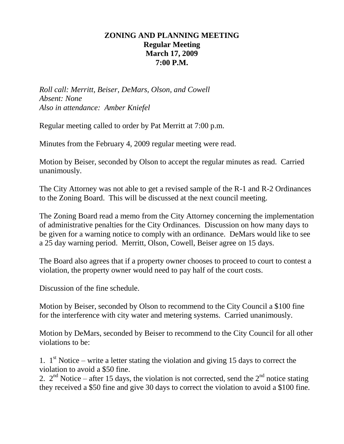# **ZONING AND PLANNING MEETING Regular Meeting March 17, 2009 7:00 P.M.**

*Roll call: Merritt, Beiser, DeMars, Olson, and Cowell Absent: None Also in attendance: Amber Kniefel*

Regular meeting called to order by Pat Merritt at 7:00 p.m.

Minutes from the February 4, 2009 regular meeting were read.

Motion by Beiser, seconded by Olson to accept the regular minutes as read. Carried unanimously.

The City Attorney was not able to get a revised sample of the R-1 and R-2 Ordinances to the Zoning Board. This will be discussed at the next council meeting.

The Zoning Board read a memo from the City Attorney concerning the implementation of administrative penalties for the City Ordinances. Discussion on how many days to be given for a warning notice to comply with an ordinance. DeMars would like to see a 25 day warning period. Merritt, Olson, Cowell, Beiser agree on 15 days.

The Board also agrees that if a property owner chooses to proceed to court to contest a violation, the property owner would need to pay half of the court costs.

Discussion of the fine schedule.

Motion by Beiser, seconded by Olson to recommend to the City Council a \$100 fine for the interference with city water and metering systems. Carried unanimously.

Motion by DeMars, seconded by Beiser to recommend to the City Council for all other violations to be:

1.  $1<sup>st</sup>$  Notice – write a letter stating the violation and giving 15 days to correct the violation to avoid a \$50 fine.

2.  $2^{nd}$  Notice – after 15 days, the violation is not corrected, send the  $2^{nd}$  notice stating they received a \$50 fine and give 30 days to correct the violation to avoid a \$100 fine.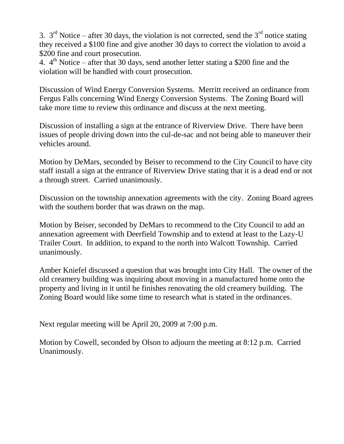3.  $3^{\text{rd}}$  Notice – after 30 days, the violation is not corrected, send the  $3^{\text{rd}}$  notice stating they received a \$100 fine and give another 30 days to correct the violation to avoid a \$200 fine and court prosecution.

4.  $4<sup>th</sup>$  Notice – after that 30 days, send another letter stating a \$200 fine and the violation will be handled with court prosecution.

Discussion of Wind Energy Conversion Systems. Merritt received an ordinance from Fergus Falls concerning Wind Energy Conversion Systems. The Zoning Board will take more time to review this ordinance and discuss at the next meeting.

Discussion of installing a sign at the entrance of Riverview Drive. There have been issues of people driving down into the cul-de-sac and not being able to maneuver their vehicles around.

Motion by DeMars, seconded by Beiser to recommend to the City Council to have city staff install a sign at the entrance of Riverview Drive stating that it is a dead end or not a through street. Carried unanimously.

Discussion on the township annexation agreements with the city. Zoning Board agrees with the southern border that was drawn on the map.

Motion by Beiser, seconded by DeMars to recommend to the City Council to add an annexation agreement with Deerfield Township and to extend at least to the Lazy-U Trailer Court. In addition, to expand to the north into Walcott Township. Carried unanimously.

Amber Kniefel discussed a question that was brought into City Hall. The owner of the old creamery building was inquiring about moving in a manufactured home onto the property and living in it until he finishes renovating the old creamery building. The Zoning Board would like some time to research what is stated in the ordinances.

Next regular meeting will be April 20, 2009 at 7:00 p.m.

Motion by Cowell, seconded by Olson to adjourn the meeting at 8:12 p.m. Carried Unanimously.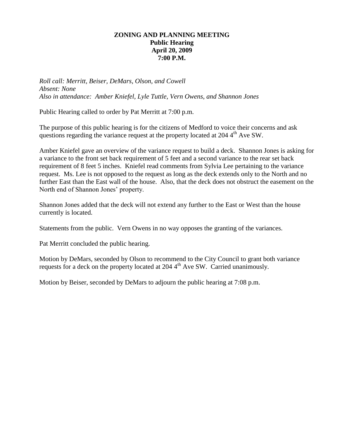## **ZONING AND PLANNING MEETING Public Hearing April 20, 2009 7:00 P.M.**

*Roll call: Merritt, Beiser, DeMars, Olson, and Cowell Absent: None Also in attendance: Amber Kniefel, Lyle Tuttle, Vern Owens, and Shannon Jones*

Public Hearing called to order by Pat Merritt at 7:00 p.m.

The purpose of this public hearing is for the citizens of Medford to voice their concerns and ask questions regarding the variance request at the property located at  $204\,4^{\text{th}}$  Ave SW.

Amber Kniefel gave an overview of the variance request to build a deck. Shannon Jones is asking for a variance to the front set back requirement of 5 feet and a second variance to the rear set back requirement of 8 feet 5 inches. Kniefel read comments from Sylvia Lee pertaining to the variance request. Ms. Lee is not opposed to the request as long as the deck extends only to the North and no further East than the East wall of the house. Also, that the deck does not obstruct the easement on the North end of Shannon Jones' property.

Shannon Jones added that the deck will not extend any further to the East or West than the house currently is located.

Statements from the public. Vern Owens in no way opposes the granting of the variances.

Pat Merritt concluded the public hearing.

Motion by DeMars, seconded by Olson to recommend to the City Council to grant both variance requests for a deck on the property located at 204 4<sup>th</sup> Ave SW. Carried unanimously.

Motion by Beiser, seconded by DeMars to adjourn the public hearing at 7:08 p.m.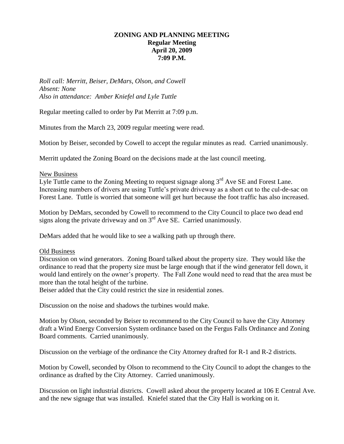## **ZONING AND PLANNING MEETING Regular Meeting April 20, 2009 7:09 P.M.**

*Roll call: Merritt, Beiser, DeMars, Olson, and Cowell Absent: None Also in attendance: Amber Kniefel and Lyle Tuttle*

Regular meeting called to order by Pat Merritt at 7:09 p.m.

Minutes from the March 23, 2009 regular meeting were read.

Motion by Beiser, seconded by Cowell to accept the regular minutes as read. Carried unanimously.

Merritt updated the Zoning Board on the decisions made at the last council meeting.

#### New Business

Lyle Tuttle came to the Zoning Meeting to request signage along  $3<sup>rd</sup>$  Ave SE and Forest Lane. Increasing numbers of drivers are using Tuttle's private driveway as a short cut to the cul-de-sac on Forest Lane. Tuttle is worried that someone will get hurt because the foot traffic has also increased.

Motion by DeMars, seconded by Cowell to recommend to the City Council to place two dead end signs along the private driveway and on  $3<sup>rd</sup>$  Ave SE. Carried unanimously.

DeMars added that he would like to see a walking path up through there.

### Old Business

Discussion on wind generators. Zoning Board talked about the property size. They would like the ordinance to read that the property size must be large enough that if the wind generator fell down, it would land entirely on the owner's property. The Fall Zone would need to read that the area must be more than the total height of the turbine.

Beiser added that the City could restrict the size in residential zones.

Discussion on the noise and shadows the turbines would make.

Motion by Olson, seconded by Beiser to recommend to the City Council to have the City Attorney draft a Wind Energy Conversion System ordinance based on the Fergus Falls Ordinance and Zoning Board comments. Carried unanimously.

Discussion on the verbiage of the ordinance the City Attorney drafted for R-1 and R-2 districts.

Motion by Cowell, seconded by Olson to recommend to the City Council to adopt the changes to the ordinance as drafted by the City Attorney. Carried unanimously.

Discussion on light industrial districts. Cowell asked about the property located at 106 E Central Ave. and the new signage that was installed. Kniefel stated that the City Hall is working on it.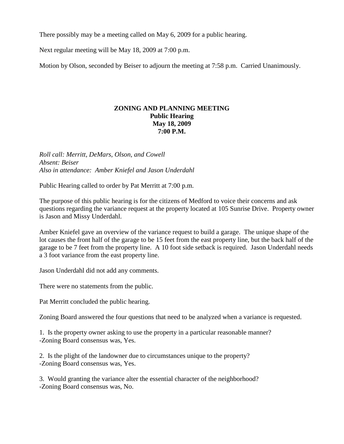There possibly may be a meeting called on May 6, 2009 for a public hearing.

Next regular meeting will be May 18, 2009 at 7:00 p.m.

Motion by Olson, seconded by Beiser to adjourn the meeting at 7:58 p.m. Carried Unanimously.

## **ZONING AND PLANNING MEETING Public Hearing May 18, 2009 7:00 P.M.**

*Roll call: Merritt, DeMars, Olson, and Cowell Absent: Beiser Also in attendance: Amber Kniefel and Jason Underdahl*

Public Hearing called to order by Pat Merritt at 7:00 p.m.

The purpose of this public hearing is for the citizens of Medford to voice their concerns and ask questions regarding the variance request at the property located at 105 Sunrise Drive. Property owner is Jason and Missy Underdahl.

Amber Kniefel gave an overview of the variance request to build a garage. The unique shape of the lot causes the front half of the garage to be 15 feet from the east property line, but the back half of the garage to be 7 feet from the property line. A 10 foot side setback is required. Jason Underdahl needs a 3 foot variance from the east property line.

Jason Underdahl did not add any comments.

There were no statements from the public.

Pat Merritt concluded the public hearing.

Zoning Board answered the four questions that need to be analyzed when a variance is requested.

1. Is the property owner asking to use the property in a particular reasonable manner? -Zoning Board consensus was, Yes.

2. Is the plight of the landowner due to circumstances unique to the property? -Zoning Board consensus was, Yes.

3. Would granting the variance alter the essential character of the neighborhood? -Zoning Board consensus was, No.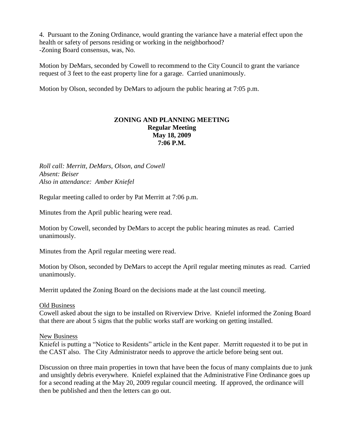4. Pursuant to the Zoning Ordinance, would granting the variance have a material effect upon the health or safety of persons residing or working in the neighborhood? -Zoning Board consensus, was, No.

Motion by DeMars, seconded by Cowell to recommend to the City Council to grant the variance request of 3 feet to the east property line for a garage. Carried unanimously.

Motion by Olson, seconded by DeMars to adjourn the public hearing at 7:05 p.m.

## **ZONING AND PLANNING MEETING Regular Meeting May 18, 2009 7:06 P.M.**

*Roll call: Merritt, DeMars, Olson, and Cowell Absent: Beiser Also in attendance: Amber Kniefel*

Regular meeting called to order by Pat Merritt at 7:06 p.m.

Minutes from the April public hearing were read.

Motion by Cowell, seconded by DeMars to accept the public hearing minutes as read. Carried unanimously.

Minutes from the April regular meeting were read.

Motion by Olson, seconded by DeMars to accept the April regular meeting minutes as read. Carried unanimously.

Merritt updated the Zoning Board on the decisions made at the last council meeting.

### Old Business

Cowell asked about the sign to be installed on Riverview Drive. Kniefel informed the Zoning Board that there are about 5 signs that the public works staff are working on getting installed.

### New Business

Kniefel is putting a "Notice to Residents" article in the Kent paper. Merritt requested it to be put in the CAST also. The City Administrator needs to approve the article before being sent out.

Discussion on three main properties in town that have been the focus of many complaints due to junk and unsightly debris everywhere. Kniefel explained that the Administrative Fine Ordinance goes up for a second reading at the May 20, 2009 regular council meeting. If approved, the ordinance will then be published and then the letters can go out.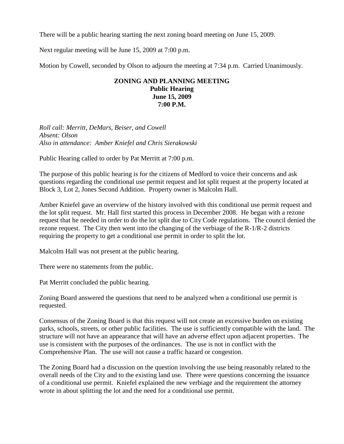There will be a public hearing starting the next zoning board meeting on June 15, 2009.

Next regular meeting will be June 15, 2009 at 7:00 p.m.

Motion by Cowell, seconded by Olson to adjourn the meeting at 7:34 p.m. Carried Unanimously.

### **ZONING AND PLANNING MEETING Public Hearing June 15, 2009 7:00 P.M.**

*Roll call: Merritt, DeMars, Beiser, and Cowell Absent: Olson Also in attendance: Amber Kniefel and Chris Sierakowski*

Public Hearing called to order by Pat Merritt at 7:00 p.m.

The purpose of this public hearing is for the citizens of Medford to voice their concerns and ask questions regarding the conditional use permit request and lot split request at the property located at Block 3, Lot 2, Jones Second Addition. Property owner is Malcolm Hall.

Amber Kniefel gave an overview of the history involved with this conditional use permit request and the lot split request. Mr. Hall first started this process in December 2008. He began with a rezone request that he needed in order to do the lot split due to City Code regulations. The council denied the rezone request. The City then went into the changing of the verbiage of the R-1/R-2 districts requiring the property to get a conditional use permit in order to split the lot.

Malcolm Hall was not present at the public hearing.

There were no statements from the public.

Pat Merritt concluded the public hearing.

Zoning Board answered the questions that need to be analyzed when a conditional use permit is requested.

Consensus of the Zoning Board is that this request will not create an excessive burden on existing parks, schools, streets, or other public facilities. The use is sufficiently compatible with the land. The structure will not have an appearance that will have an adverse effect upon adjacent properties. The use is consistent with the purposes of the ordinances. The use is not in conflict with the Comprehensive Plan. The use will not cause a traffic hazard or congestion.

The Zoning Board had a discussion on the question involving the use being reasonably related to the overall needs of the City and to the existing land use. There were questions concerning the issuance of a conditional use permit. Kniefel explained the new verbiage and the requirement the attorney wrote in about splitting the lot and the need for a conditional use permit.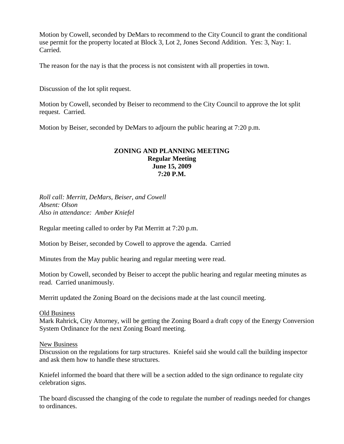Motion by Cowell, seconded by DeMars to recommend to the City Council to grant the conditional use permit for the property located at Block 3, Lot 2, Jones Second Addition. Yes: 3, Nay: 1. Carried.

The reason for the nay is that the process is not consistent with all properties in town.

Discussion of the lot split request.

Motion by Cowell, seconded by Beiser to recommend to the City Council to approve the lot split request. Carried.

Motion by Beiser, seconded by DeMars to adjourn the public hearing at 7:20 p.m.

#### **ZONING AND PLANNING MEETING Regular Meeting June 15, 2009 7:20 P.M.**

*Roll call: Merritt, DeMars, Beiser, and Cowell Absent: Olson Also in attendance: Amber Kniefel*

Regular meeting called to order by Pat Merritt at 7:20 p.m.

Motion by Beiser, seconded by Cowell to approve the agenda. Carried

Minutes from the May public hearing and regular meeting were read.

Motion by Cowell, seconded by Beiser to accept the public hearing and regular meeting minutes as read. Carried unanimously.

Merritt updated the Zoning Board on the decisions made at the last council meeting.

#### Old Business

Mark Rahrick, City Attorney, will be getting the Zoning Board a draft copy of the Energy Conversion System Ordinance for the next Zoning Board meeting.

New Business

Discussion on the regulations for tarp structures. Kniefel said she would call the building inspector and ask them how to handle these structures.

Kniefel informed the board that there will be a section added to the sign ordinance to regulate city celebration signs.

The board discussed the changing of the code to regulate the number of readings needed for changes to ordinances.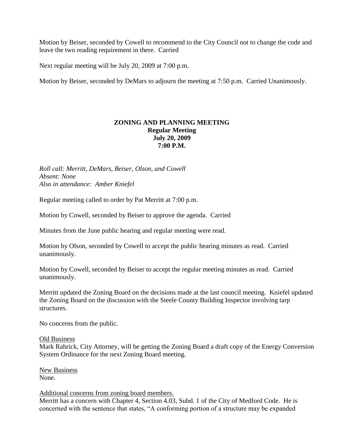Motion by Beiser, seconded by Cowell to recommend to the City Council not to change the code and leave the two reading requirement in there. Carried

Next regular meeting will be July 20, 2009 at 7:00 p.m.

Motion by Beiser, seconded by DeMars to adjourn the meeting at 7:50 p.m. Carried Unanimously.

## **ZONING AND PLANNING MEETING Regular Meeting July 20, 2009 7:00 P.M.**

*Roll call: Merritt, DeMars, Beiser, Olson, and Cowell Absent: None Also in attendance: Amber Kniefel*

Regular meeting called to order by Pat Merritt at 7:00 p.m.

Motion by Cowell, seconded by Beiser to approve the agenda. Carried

Minutes from the June public hearing and regular meeting were read.

Motion by Olson, seconded by Cowell to accept the public hearing minutes as read. Carried unanimously.

Motion by Cowell, seconded by Beiser to accept the regular meeting minutes as read. Carried unanimously.

Merritt updated the Zoning Board on the decisions made at the last council meeting. Kniefel updated the Zoning Board on the discussion with the Steele County Building Inspector involving tarp structures.

No concerns from the public.

#### Old Business

Mark Rahrick, City Attorney, will be getting the Zoning Board a draft copy of the Energy Conversion System Ordinance for the next Zoning Board meeting.

New Business None.

#### Additional concerns from zoning board members.

Merritt has a concern with Chapter 4, Section 4.03, Subd. 1 of the City of Medford Code. He is concerned with the sentence that states, "A conforming portion of a structure may be expanded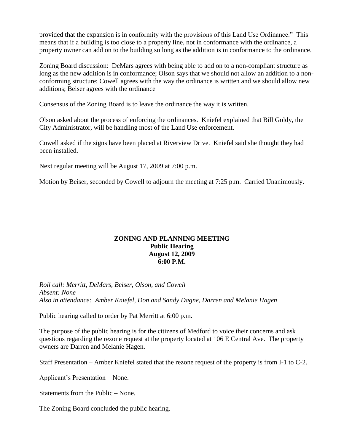provided that the expansion is in conformity with the provisions of this Land Use Ordinance." This means that if a building is too close to a property line, not in conformance with the ordinance, a property owner can add on to the building so long as the addition is in conformance to the ordinance.

Zoning Board discussion: DeMars agrees with being able to add on to a non-compliant structure as long as the new addition is in conformance; Olson says that we should not allow an addition to a nonconforming structure; Cowell agrees with the way the ordinance is written and we should allow new additions; Beiser agrees with the ordinance

Consensus of the Zoning Board is to leave the ordinance the way it is written.

Olson asked about the process of enforcing the ordinances. Kniefel explained that Bill Goldy, the City Administrator, will be handling most of the Land Use enforcement.

Cowell asked if the signs have been placed at Riverview Drive. Kniefel said she thought they had been installed.

Next regular meeting will be August 17, 2009 at 7:00 p.m.

Motion by Beiser, seconded by Cowell to adjourn the meeting at 7:25 p.m. Carried Unanimously.

## **ZONING AND PLANNING MEETING Public Hearing August 12, 2009 6:00 P.M.**

*Roll call: Merritt, DeMars, Beiser, Olson, and Cowell Absent: None Also in attendance: Amber Kniefel, Don and Sandy Dagne, Darren and Melanie Hagen*

Public hearing called to order by Pat Merritt at 6:00 p.m.

The purpose of the public hearing is for the citizens of Medford to voice their concerns and ask questions regarding the rezone request at the property located at 106 E Central Ave. The property owners are Darren and Melanie Hagen.

Staff Presentation – Amber Kniefel stated that the rezone request of the property is from I-1 to C-2.

Applicant's Presentation – None.

Statements from the Public – None.

The Zoning Board concluded the public hearing.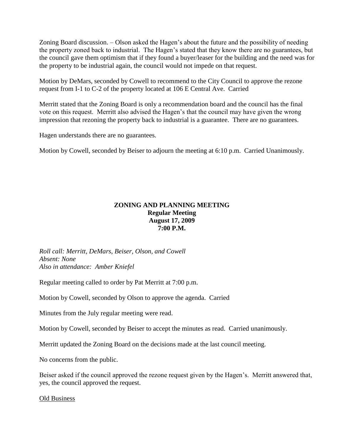Zoning Board discussion. – Olson asked the Hagen's about the future and the possibility of needing the property zoned back to industrial. The Hagen's stated that they know there are no guarantees, but the council gave them optimism that if they found a buyer/leaser for the building and the need was for the property to be industrial again, the council would not impede on that request.

Motion by DeMars, seconded by Cowell to recommend to the City Council to approve the rezone request from I-1 to C-2 of the property located at 106 E Central Ave. Carried

Merritt stated that the Zoning Board is only a recommendation board and the council has the final vote on this request. Merritt also advised the Hagen's that the council may have given the wrong impression that rezoning the property back to industrial is a guarantee. There are no guarantees.

Hagen understands there are no guarantees.

Motion by Cowell, seconded by Beiser to adjourn the meeting at 6:10 p.m. Carried Unanimously.

# **ZONING AND PLANNING MEETING Regular Meeting August 17, 2009 7:00 P.M.**

*Roll call: Merritt, DeMars, Beiser, Olson, and Cowell Absent: None Also in attendance: Amber Kniefel*

Regular meeting called to order by Pat Merritt at 7:00 p.m.

Motion by Cowell, seconded by Olson to approve the agenda. Carried

Minutes from the July regular meeting were read.

Motion by Cowell, seconded by Beiser to accept the minutes as read. Carried unanimously.

Merritt updated the Zoning Board on the decisions made at the last council meeting.

No concerns from the public.

Beiser asked if the council approved the rezone request given by the Hagen's. Merritt answered that, yes, the council approved the request.

Old Business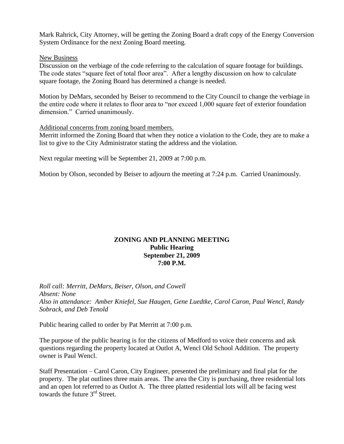Mark Rahrick, City Attorney, will be getting the Zoning Board a draft copy of the Energy Conversion System Ordinance for the next Zoning Board meeting.

#### New Business

Discussion on the verbiage of the code referring to the calculation of square footage for buildings. The code states "square feet of total floor area". After a lengthy discussion on how to calculate square footage, the Zoning Board has determined a change is needed.

Motion by DeMars, seconded by Beiser to recommend to the City Council to change the verbiage in the entire code where it relates to floor area to "nor exceed 1,000 square feet of exterior foundation dimension." Carried unanimously.

#### Additional concerns from zoning board members.

Merritt informed the Zoning Board that when they notice a violation to the Code, they are to make a list to give to the City Administrator stating the address and the violation.

Next regular meeting will be September 21, 2009 at 7:00 p.m.

Motion by Olson, seconded by Beiser to adjourn the meeting at 7:24 p.m. Carried Unanimously.

## **ZONING AND PLANNING MEETING Public Hearing September 21, 2009 7:00 P.M.**

*Roll call: Merritt, DeMars, Beiser, Olson, and Cowell Absent: None Also in attendance: Amber Kniefel, Sue Haugen, Gene Luedtke, Carol Caron, Paul Wencl, Randy Sobrack, and Deb Tenold*

Public hearing called to order by Pat Merritt at 7:00 p.m.

The purpose of the public hearing is for the citizens of Medford to voice their concerns and ask questions regarding the property located at Outlot A, Wencl Old School Addition. The property owner is Paul Wencl.

Staff Presentation – Carol Caron, City Engineer, presented the preliminary and final plat for the property. The plat outlines three main areas. The area the City is purchasing, three residential lots and an open lot referred to as Outlot A. The three platted residential lots will all be facing west towards the future 3rd Street.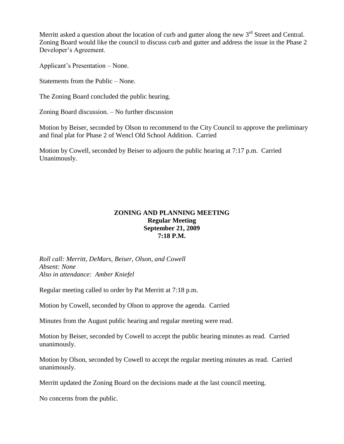Merritt asked a question about the location of curb and gutter along the new  $3<sup>rd</sup>$  Street and Central. Zoning Board would like the council to discuss curb and gutter and address the issue in the Phase 2 Developer's Agreement.

Applicant's Presentation – None.

Statements from the Public – None.

The Zoning Board concluded the public hearing.

Zoning Board discussion. – No further discussion

Motion by Beiser, seconded by Olson to recommend to the City Council to approve the preliminary and final plat for Phase 2 of Wencl Old School Addition. Carried

Motion by Cowell, seconded by Beiser to adjourn the public hearing at 7:17 p.m. Carried Unanimously.

## **ZONING AND PLANNING MEETING Regular Meeting September 21, 2009 7:18 P.M.**

*Roll call: Merritt, DeMars, Beiser, Olson, and Cowell Absent: None Also in attendance: Amber Kniefel*

Regular meeting called to order by Pat Merritt at 7:18 p.m.

Motion by Cowell, seconded by Olson to approve the agenda. Carried

Minutes from the August public hearing and regular meeting were read.

Motion by Beiser, seconded by Cowell to accept the public hearing minutes as read. Carried unanimously.

Motion by Olson, seconded by Cowell to accept the regular meeting minutes as read. Carried unanimously.

Merritt updated the Zoning Board on the decisions made at the last council meeting.

No concerns from the public.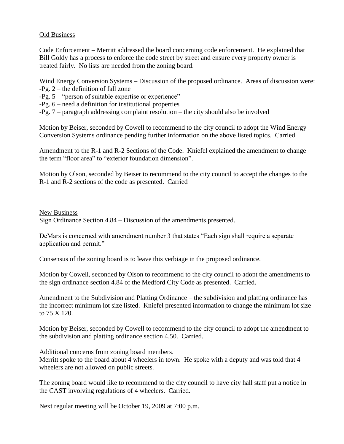### Old Business

Code Enforcement – Merritt addressed the board concerning code enforcement. He explained that Bill Goldy has a process to enforce the code street by street and ensure every property owner is treated fairly. No lists are needed from the zoning board.

Wind Energy Conversion Systems – Discussion of the proposed ordinance. Areas of discussion were:

- -Pg. 2 the definition of fall zone
- -Pg. 5 "person of suitable expertise or experience"
- -Pg. 6 need a definition for institutional properties
- -Pg. 7 paragraph addressing complaint resolution the city should also be involved

Motion by Beiser, seconded by Cowell to recommend to the city council to adopt the Wind Energy Conversion Systems ordinance pending further information on the above listed topics. Carried

Amendment to the R-1 and R-2 Sections of the Code. Kniefel explained the amendment to change the term "floor area" to "exterior foundation dimension".

Motion by Olson, seconded by Beiser to recommend to the city council to accept the changes to the R-1 and R-2 sections of the code as presented. Carried

New Business Sign Ordinance Section 4.84 – Discussion of the amendments presented.

DeMars is concerned with amendment number 3 that states "Each sign shall require a separate application and permit."

Consensus of the zoning board is to leave this verbiage in the proposed ordinance.

Motion by Cowell, seconded by Olson to recommend to the city council to adopt the amendments to the sign ordinance section 4.84 of the Medford City Code as presented. Carried.

Amendment to the Subdivision and Platting Ordinance – the subdivision and platting ordinance has the incorrect minimum lot size listed. Kniefel presented information to change the minimum lot size to 75 X 120.

Motion by Beiser, seconded by Cowell to recommend to the city council to adopt the amendment to the subdivision and platting ordinance section 4.50. Carried.

## Additional concerns from zoning board members.

Merritt spoke to the board about 4 wheelers in town. He spoke with a deputy and was told that 4 wheelers are not allowed on public streets.

The zoning board would like to recommend to the city council to have city hall staff put a notice in the CAST involving regulations of 4 wheelers. Carried.

Next regular meeting will be October 19, 2009 at 7:00 p.m.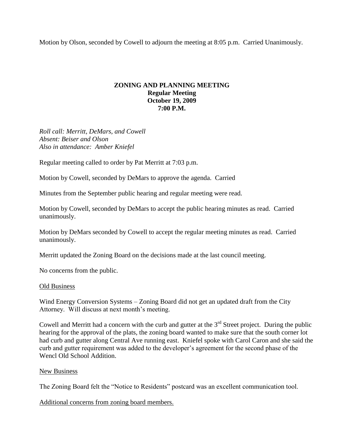Motion by Olson, seconded by Cowell to adjourn the meeting at 8:05 p.m. Carried Unanimously.

## **ZONING AND PLANNING MEETING Regular Meeting October 19, 2009 7:00 P.M.**

*Roll call: Merritt, DeMars, and Cowell Absent: Beiser and Olson Also in attendance: Amber Kniefel*

Regular meeting called to order by Pat Merritt at 7:03 p.m.

Motion by Cowell, seconded by DeMars to approve the agenda. Carried

Minutes from the September public hearing and regular meeting were read.

Motion by Cowell, seconded by DeMars to accept the public hearing minutes as read. Carried unanimously.

Motion by DeMars seconded by Cowell to accept the regular meeting minutes as read. Carried unanimously.

Merritt updated the Zoning Board on the decisions made at the last council meeting.

No concerns from the public.

#### Old Business

Wind Energy Conversion Systems – Zoning Board did not get an updated draft from the City Attorney. Will discuss at next month's meeting.

Cowell and Merritt had a concern with the curb and gutter at the  $3<sup>rd</sup>$  Street project. During the public hearing for the approval of the plats, the zoning board wanted to make sure that the south corner lot had curb and gutter along Central Ave running east. Kniefel spoke with Carol Caron and she said the curb and gutter requirement was added to the developer's agreement for the second phase of the Wencl Old School Addition.

#### New Business

The Zoning Board felt the "Notice to Residents" postcard was an excellent communication tool.

Additional concerns from zoning board members.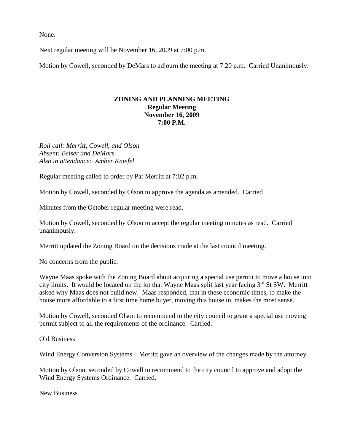None.

Next regular meeting will be November 16, 2009 at 7:00 p.m.

Motion by Cowell, seconded by DeMars to adjourn the meeting at 7:20 p.m. Carried Unanimously.

### **ZONING AND PLANNING MEETING Regular Meeting November 16, 2009 7:00 P.M.**

*Roll call: Merritt, Cowell, and Olson Absent: Beiser and DeMars Also in attendance: Amber Kniefel*

Regular meeting called to order by Pat Merritt at 7:02 p.m.

Motion by Cowell, seconded by Olson to approve the agenda as amended. Carried

Minutes from the October regular meeting were read.

Motion by Cowell, seconded by Olson to accept the regular meeting minutes as read. Carried unanimously.

Merritt updated the Zoning Board on the decisions made at the last council meeting.

No concerns from the public.

Wayne Maas spoke with the Zoning Board about acquiring a special use permit to move a house into city limits. It would be located on the lot that Wayne Maas split last year facing  $3<sup>rd</sup>$  St SW. Merritt asked why Maas does not build new. Maas responded, that in these economic times, to make the house more affordable to a first time home buyer, moving this house in, makes the most sense.

Motion by Cowell, seconded Olson to recommend to the city council to grant a special use moving permit subject to all the requirements of the ordinance. Carried.

#### Old Business

Wind Energy Conversion Systems – Merritt gave an overview of the changes made by the attorney.

Motion by Olson, seconded by Cowell to recommend to the city council to approve and adopt the Wind Energy Systems Ordinance. Carried.

New Business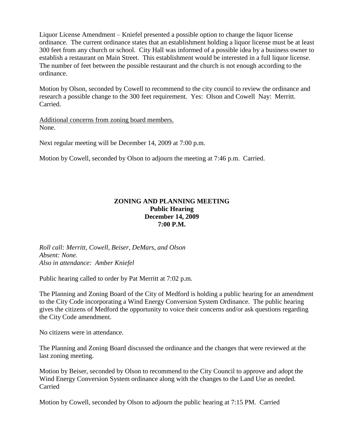Liquor License Amendment – Kniefel presented a possible option to change the liquor license ordinance. The current ordinance states that an establishment holding a liquor license must be at least 300 feet from any church or school. City Hall was informed of a possible idea by a business owner to establish a restaurant on Main Street. This establishment would be interested in a full liquor license. The number of feet between the possible restaurant and the church is not enough according to the ordinance.

Motion by Olson, seconded by Cowell to recommend to the city council to review the ordinance and research a possible change to the 300 feet requirement. Yes: Olson and Cowell Nay: Merritt. Carried.

Additional concerns from zoning board members. None.

Next regular meeting will be December 14, 2009 at 7:00 p.m.

Motion by Cowell, seconded by Olson to adjourn the meeting at 7:46 p.m. Carried.

## **ZONING AND PLANNING MEETING Public Hearing December 14, 2009 7:00 P.M.**

*Roll call: Merritt, Cowell, Beiser, DeMars, and Olson Absent: None. Also in attendance: Amber Kniefel*

Public hearing called to order by Pat Merritt at 7:02 p.m.

The Planning and Zoning Board of the City of Medford is holding a public hearing for an amendment to the City Code incorporating a Wind Energy Conversion System Ordinance. The public hearing gives the citizens of Medford the opportunity to voice their concerns and/or ask questions regarding the City Code amendment.

No citizens were in attendance.

The Planning and Zoning Board discussed the ordinance and the changes that were reviewed at the last zoning meeting.

Motion by Beiser, seconded by Olson to recommend to the City Council to approve and adopt the Wind Energy Conversion System ordinance along with the changes to the Land Use as needed. Carried

Motion by Cowell, seconded by Olson to adjourn the public hearing at 7:15 PM. Carried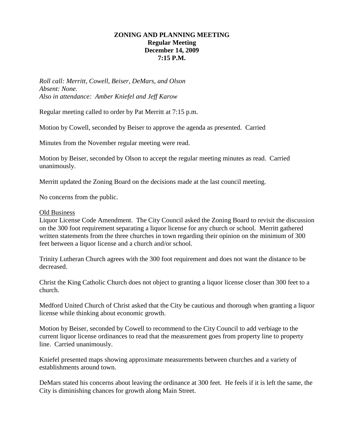## **ZONING AND PLANNING MEETING Regular Meeting December 14, 2009 7:15 P.M.**

*Roll call: Merritt, Cowell, Beiser, DeMars, and Olson Absent: None. Also in attendance: Amber Kniefel and Jeff Karow*

Regular meeting called to order by Pat Merritt at 7:15 p.m.

Motion by Cowell, seconded by Beiser to approve the agenda as presented. Carried

Minutes from the November regular meeting were read.

Motion by Beiser, seconded by Olson to accept the regular meeting minutes as read. Carried unanimously.

Merritt updated the Zoning Board on the decisions made at the last council meeting.

No concerns from the public.

#### Old Business

Liquor License Code Amendment. The City Council asked the Zoning Board to revisit the discussion on the 300 foot requirement separating a liquor license for any church or school. Merritt gathered written statements from the three churches in town regarding their opinion on the minimum of 300 feet between a liquor license and a church and/or school.

Trinity Lutheran Church agrees with the 300 foot requirement and does not want the distance to be decreased.

Christ the King Catholic Church does not object to granting a liquor license closer than 300 feet to a church.

Medford United Church of Christ asked that the City be cautious and thorough when granting a liquor license while thinking about economic growth.

Motion by Beiser, seconded by Cowell to recommend to the City Council to add verbiage to the current liquor license ordinances to read that the measurement goes from property line to property line. Carried unanimously.

Kniefel presented maps showing approximate measurements between churches and a variety of establishments around town.

DeMars stated his concerns about leaving the ordinance at 300 feet. He feels if it is left the same, the City is diminishing chances for growth along Main Street.